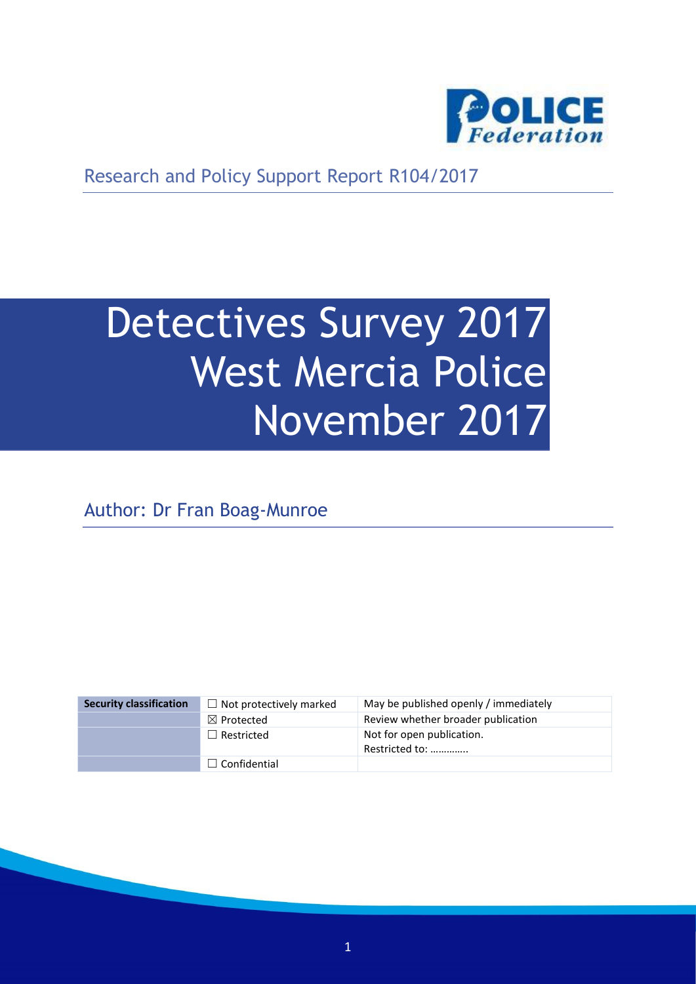

Research and Policy Support Report R104/2017

# Detectives Survey 2017 West Mercia Police November 2017

Author: Dr Fran Boag-Munroe

| <b>Security classification</b> | $\Box$ Not protectively marked | May be published openly / immediately       |
|--------------------------------|--------------------------------|---------------------------------------------|
|                                | $\boxtimes$ Protected          | Review whether broader publication          |
|                                | $\Box$ Restricted              | Not for open publication.<br>Restricted to: |
|                                | $\Box$ Confidential            |                                             |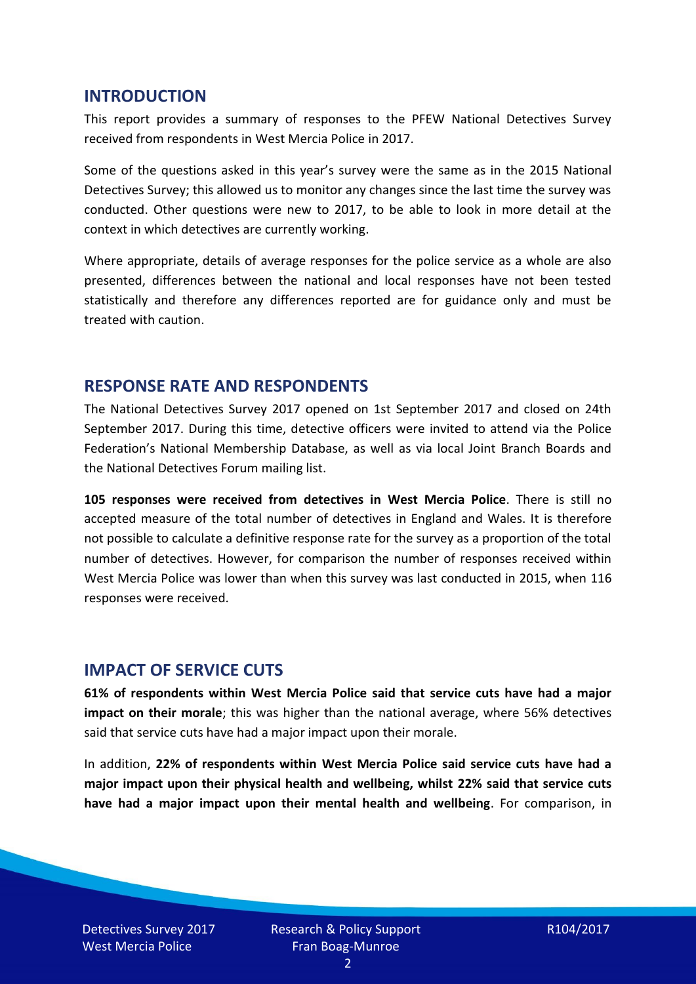#### **INTRODUCTION**

This report provides a summary of responses to the PFEW National Detectives Survey received from respondents in West Mercia Police in 2017.

Some of the questions asked in this year's survey were the same as in the 2015 National Detectives Survey; this allowed us to monitor any changes since the last time the survey was conducted. Other questions were new to 2017, to be able to look in more detail at the context in which detectives are currently working.

Where appropriate, details of average responses for the police service as a whole are also presented, differences between the national and local responses have not been tested statistically and therefore any differences reported are for guidance only and must be treated with caution.

#### **RESPONSE RATE AND RESPONDENTS**

The National Detectives Survey 2017 opened on 1st September 2017 and closed on 24th September 2017. During this time, detective officers were invited to attend via the Police Federation's National Membership Database, as well as via local Joint Branch Boards and the National Detectives Forum mailing list.

**105 responses were received from detectives in West Mercia Police**. There is still no accepted measure of the total number of detectives in England and Wales. It is therefore not possible to calculate a definitive response rate for the survey as a proportion of the total number of detectives. However, for comparison the number of responses received within West Mercia Police was lower than when this survey was last conducted in 2015, when 116 responses were received.

#### **IMPACT OF SERVICE CUTS**

**61% of respondents within West Mercia Police said that service cuts have had a major impact on their morale**; this was higher than the national average, where 56% detectives said that service cuts have had a major impact upon their morale.

In addition, **22% of respondents within West Mercia Police said service cuts have had a major impact upon their physical health and wellbeing, whilst 22% said that service cuts have had a major impact upon their mental health and wellbeing**. For comparison, in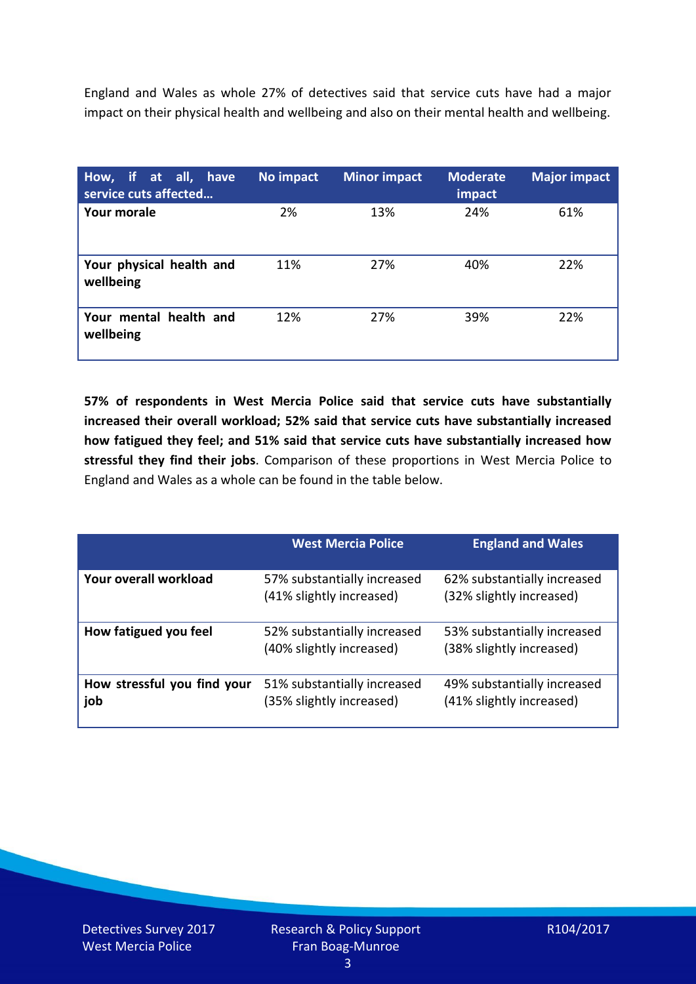England and Wales as whole 27% of detectives said that service cuts have had a major impact on their physical health and wellbeing and also on their mental health and wellbeing.

| How, if at all, have<br>service cuts affected | No impact | <b>Minor impact</b> | <b>Moderate</b><br>impact | <b>Major impact</b> |
|-----------------------------------------------|-----------|---------------------|---------------------------|---------------------|
| <b>Your morale</b>                            | 2%        | 13%                 | 24%                       | 61%                 |
| Your physical health and<br>wellbeing         | 11%       | 27%                 | 40%                       | 22%                 |
| Your mental health and<br>wellbeing           | 12%       | 27%                 | 39%                       | 22%                 |

**57% of respondents in West Mercia Police said that service cuts have substantially increased their overall workload; 52% said that service cuts have substantially increased how fatigued they feel; and 51% said that service cuts have substantially increased how stressful they find their jobs**. Comparison of these proportions in West Mercia Police to England and Wales as a whole can be found in the table below.

|                                    | <b>West Mercia Police</b>                               | <b>England and Wales</b>                                |
|------------------------------------|---------------------------------------------------------|---------------------------------------------------------|
| Your overall workload              | 57% substantially increased<br>(41% slightly increased) | 62% substantially increased<br>(32% slightly increased) |
| How fatigued you feel              | 52% substantially increased<br>(40% slightly increased) | 53% substantially increased<br>(38% slightly increased) |
| How stressful you find your<br>job | 51% substantially increased<br>(35% slightly increased) | 49% substantially increased<br>(41% slightly increased) |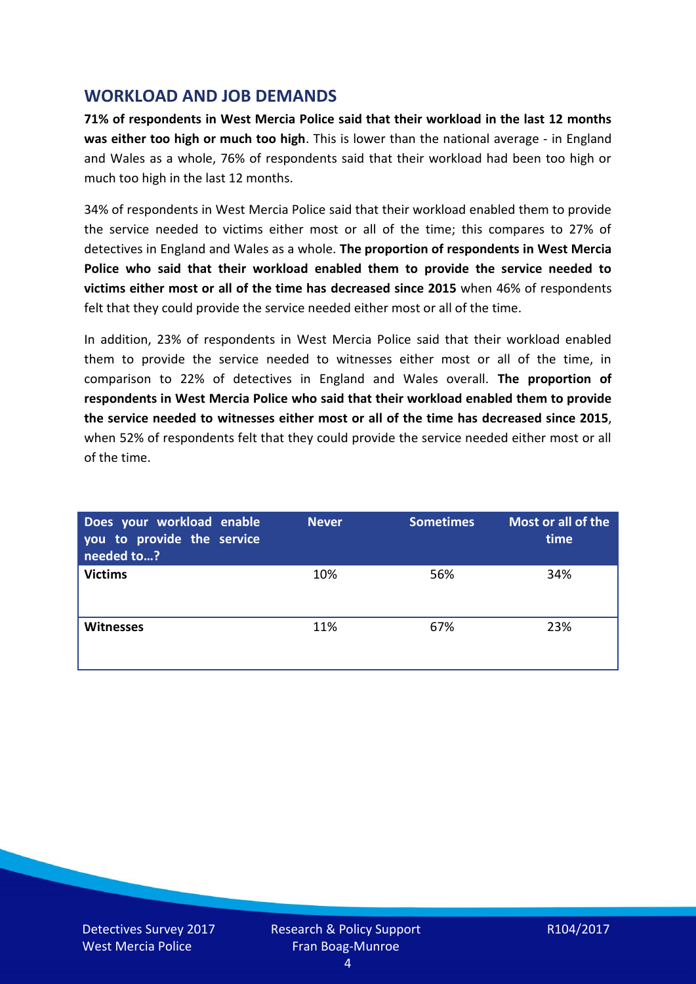## **WORKLOAD AND JOB DEMANDS**

**71% of respondents in West Mercia Police said that their workload in the last 12 months was either too high or much too high**. This is lower than the national average - in England and Wales as a whole, 76% of respondents said that their workload had been too high or much too high in the last 12 months.

34% of respondents in West Mercia Police said that their workload enabled them to provide the service needed to victims either most or all of the time; this compares to 27% of detectives in England and Wales as a whole. **The proportion of respondents in West Mercia Police who said that their workload enabled them to provide the service needed to victims either most or all of the time has decreased since 2015** when 46% of respondents felt that they could provide the service needed either most or all of the time.

In addition, 23% of respondents in West Mercia Police said that their workload enabled them to provide the service needed to witnesses either most or all of the time, in comparison to 22% of detectives in England and Wales overall. **The proportion of respondents in West Mercia Police who said that their workload enabled them to provide the service needed to witnesses either most or all of the time has decreased since 2015**, when 52% of respondents felt that they could provide the service needed either most or all of the time.

| Does your workload enable<br>you to provide the service<br>needed to? | <b>Never</b> | <b>Sometimes</b> | Most or all of the<br>time |
|-----------------------------------------------------------------------|--------------|------------------|----------------------------|
| <b>Victims</b>                                                        | 10%          | 56%              | 34%                        |
| <b>Witnesses</b>                                                      | 11%          | 67%              | 23%                        |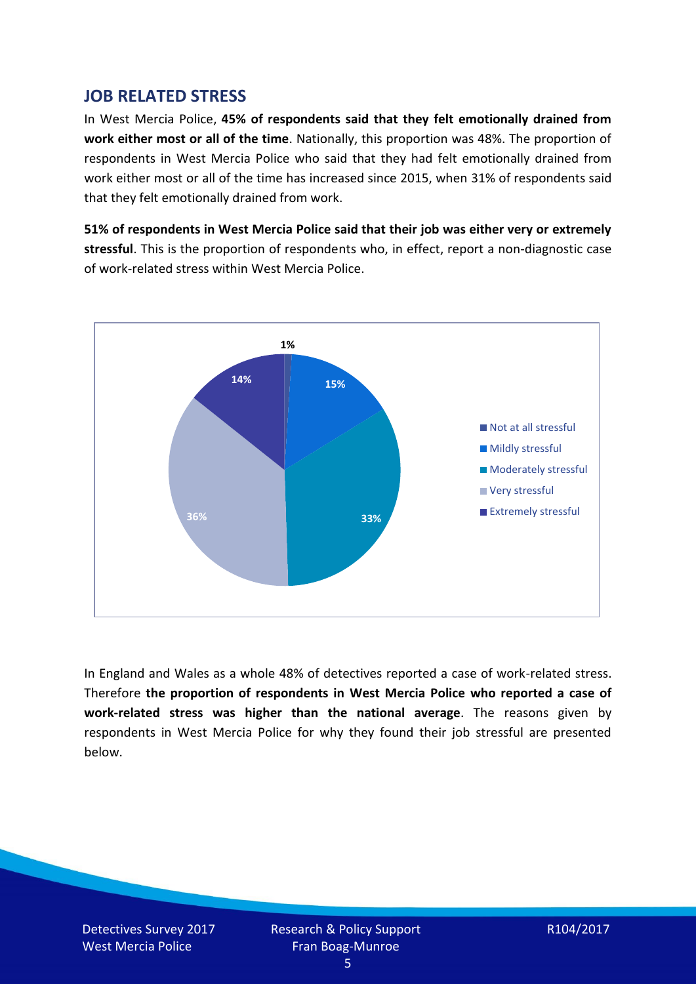## **JOB RELATED STRESS**

In West Mercia Police, **45% of respondents said that they felt emotionally drained from work either most or all of the time**. Nationally, this proportion was 48%. The proportion of respondents in West Mercia Police who said that they had felt emotionally drained from work either most or all of the time has increased since 2015, when 31% of respondents said that they felt emotionally drained from work.

**51% of respondents in West Mercia Police said that their job was either very or extremely stressful**. This is the proportion of respondents who, in effect, report a non-diagnostic case of work-related stress within West Mercia Police.



In England and Wales as a whole 48% of detectives reported a case of work-related stress. Therefore **the proportion of respondents in West Mercia Police who reported a case of work-related stress was higher than the national average**. The reasons given by respondents in West Mercia Police for why they found their job stressful are presented below.

Detectives Survey 2017 West Mercia Police

Research & Policy Support Fran Boag-Munroe

R104/2017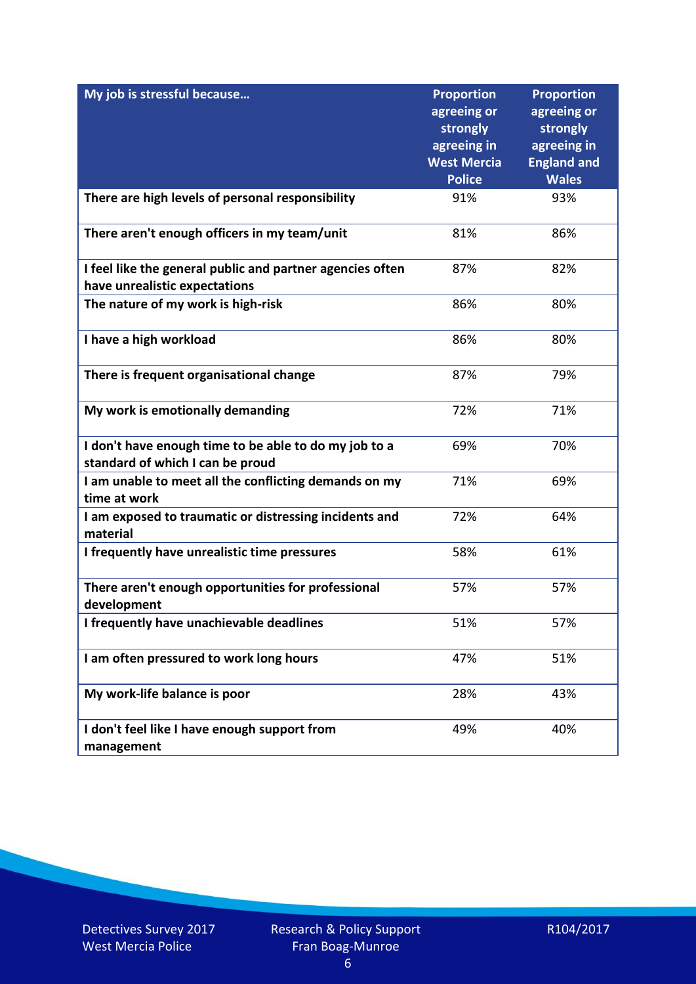| My job is stressful because                                                                | <b>Proportion</b><br>agreeing or<br>strongly<br>agreeing in<br><b>West Mercia</b> | <b>Proportion</b><br>agreeing or<br>strongly<br>agreeing in<br><b>England and</b> |
|--------------------------------------------------------------------------------------------|-----------------------------------------------------------------------------------|-----------------------------------------------------------------------------------|
|                                                                                            | <b>Police</b>                                                                     | <b>Wales</b>                                                                      |
| There are high levels of personal responsibility                                           | 91%                                                                               | 93%                                                                               |
| There aren't enough officers in my team/unit                                               | 81%                                                                               | 86%                                                                               |
| I feel like the general public and partner agencies often<br>have unrealistic expectations | 87%                                                                               | 82%                                                                               |
| The nature of my work is high-risk                                                         | 86%                                                                               | 80%                                                                               |
| I have a high workload                                                                     | 86%                                                                               | 80%                                                                               |
| There is frequent organisational change                                                    | 87%                                                                               | 79%                                                                               |
| My work is emotionally demanding                                                           | 72%                                                                               | 71%                                                                               |
| I don't have enough time to be able to do my job to a<br>standard of which I can be proud  | 69%                                                                               | 70%                                                                               |
| I am unable to meet all the conflicting demands on my<br>time at work                      | 71%                                                                               | 69%                                                                               |
| I am exposed to traumatic or distressing incidents and<br>material                         | 72%                                                                               | 64%                                                                               |
| I frequently have unrealistic time pressures                                               | 58%                                                                               | 61%                                                                               |
| There aren't enough opportunities for professional<br>development                          | 57%                                                                               | 57%                                                                               |
| I frequently have unachievable deadlines                                                   | 51%                                                                               | 57%                                                                               |
| I am often pressured to work long hours                                                    | 47%                                                                               | 51%                                                                               |
| My work-life balance is poor                                                               | 28%                                                                               | 43%                                                                               |
| I don't feel like I have enough support from<br>management                                 | 49%                                                                               | 40%                                                                               |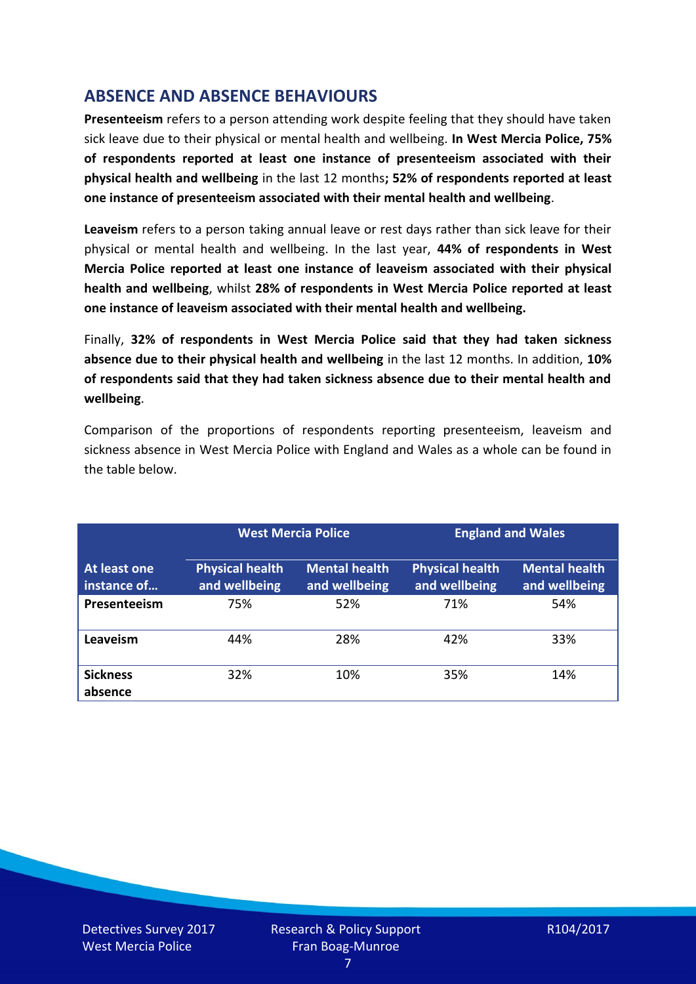# **ABSENCE AND ABSENCE BEHAVIOURS**

**Presenteeism** refers to a person attending work despite feeling that they should have taken sick leave due to their physical or mental health and wellbeing. **In West Mercia Police, 75% of respondents reported at least one instance of presenteeism associated with their physical health and wellbeing** in the last 12 months**; 52% of respondents reported at least one instance of presenteeism associated with their mental health and wellbeing**.

**Leaveism** refers to a person taking annual leave or rest days rather than sick leave for their physical or mental health and wellbeing. In the last year, **44% of respondents in West Mercia Police reported at least one instance of leaveism associated with their physical health and wellbeing**, whilst **28% of respondents in West Mercia Police reported at least one instance of leaveism associated with their mental health and wellbeing.**

Finally, **32% of respondents in West Mercia Police said that they had taken sickness absence due to their physical health and wellbeing** in the last 12 months. In addition, **10% of respondents said that they had taken sickness absence due to their mental health and wellbeing**.

Comparison of the proportions of respondents reporting presenteeism, leaveism and sickness absence in West Mercia Police with England and Wales as a whole can be found in the table below.

|                             |                                         | <b>West Mercia Police</b>             |                                         | <b>England and Wales</b>              |
|-----------------------------|-----------------------------------------|---------------------------------------|-----------------------------------------|---------------------------------------|
| At least one<br>instance of | <b>Physical health</b><br>and wellbeing | <b>Mental health</b><br>and wellbeing | <b>Physical health</b><br>and wellbeing | <b>Mental health</b><br>and wellbeing |
| Presenteeism                | 75%                                     | 52%                                   | 71%                                     | 54%                                   |
| Leaveism                    | 44%                                     | 28%                                   | 42%                                     | 33%                                   |
| <b>Sickness</b><br>absence  | 32%                                     | 10%                                   | 35%                                     | 14%                                   |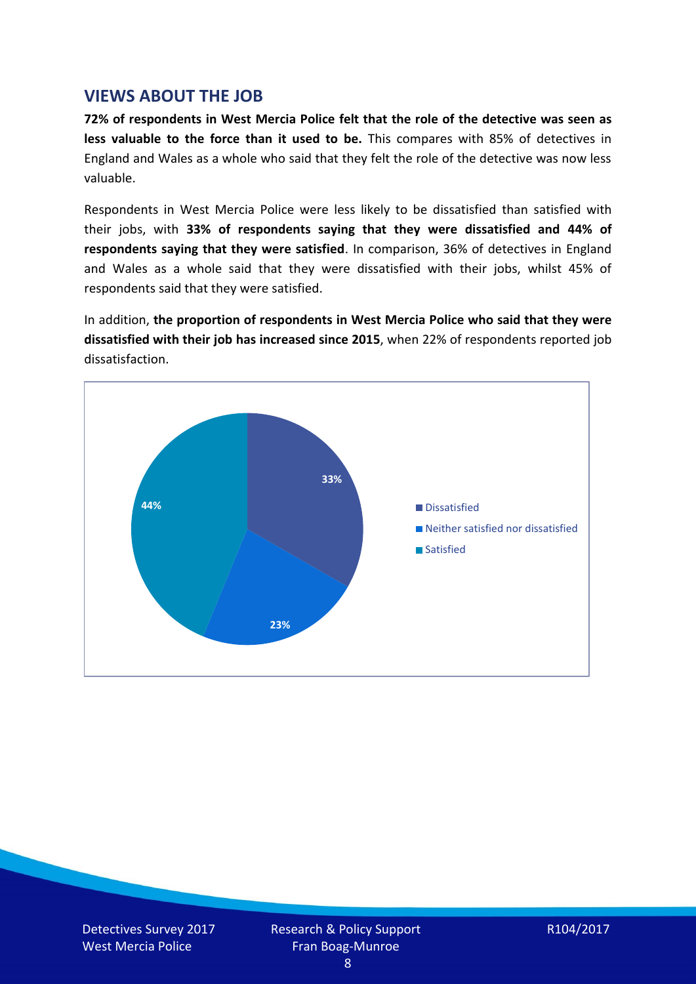## **VIEWS ABOUT THE JOB**

**72% of respondents in West Mercia Police felt that the role of the detective was seen as less valuable to the force than it used to be.** This compares with 85% of detectives in England and Wales as a whole who said that they felt the role of the detective was now less valuable.

Respondents in West Mercia Police were less likely to be dissatisfied than satisfied with their jobs, with **33% of respondents saying that they were dissatisfied and 44% of respondents saying that they were satisfied**. In comparison, 36% of detectives in England and Wales as a whole said that they were dissatisfied with their jobs, whilst 45% of respondents said that they were satisfied.

In addition, **the proportion of respondents in West Mercia Police who said that they were dissatisfied with their job has increased since 2015**, when 22% of respondents reported job dissatisfaction.



Detectives Survey 2017 West Mercia Police

Research & Policy Support Fran Boag-Munroe

R104/2017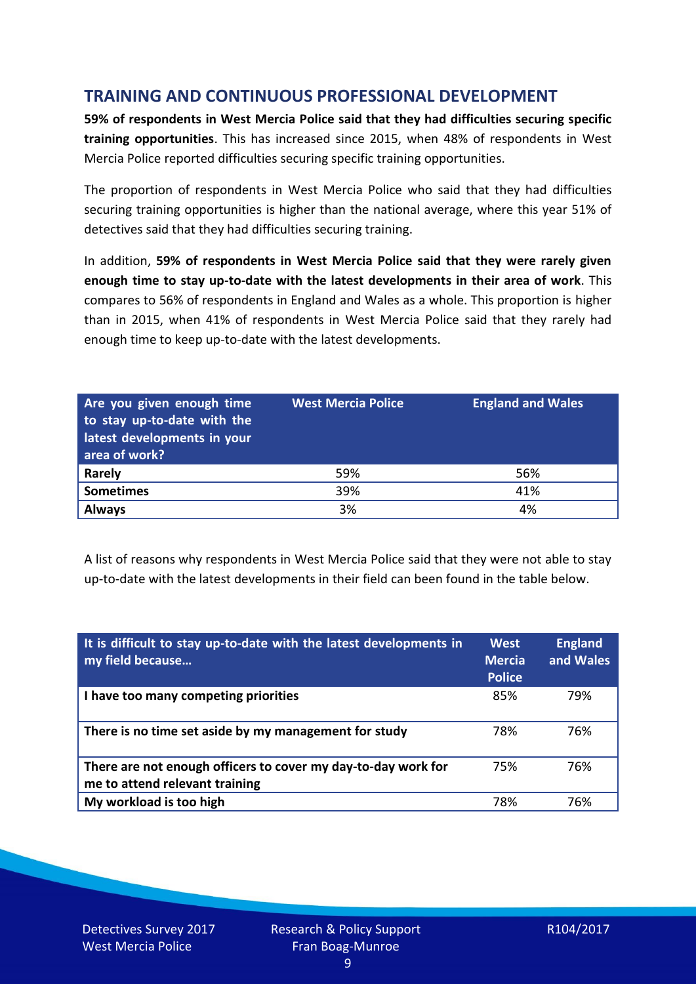# **TRAINING AND CONTINUOUS PROFESSIONAL DEVELOPMENT**

**59% of respondents in West Mercia Police said that they had difficulties securing specific training opportunities**. This has increased since 2015, when 48% of respondents in West Mercia Police reported difficulties securing specific training opportunities.

The proportion of respondents in West Mercia Police who said that they had difficulties securing training opportunities is higher than the national average, where this year 51% of detectives said that they had difficulties securing training.

In addition, **59% of respondents in West Mercia Police said that they were rarely given enough time to stay up-to-date with the latest developments in their area of work**. This compares to 56% of respondents in England and Wales as a whole. This proportion is higher than in 2015, when 41% of respondents in West Mercia Police said that they rarely had enough time to keep up-to-date with the latest developments.

| Are you given enough time<br>to stay up-to-date with the<br>latest developments in your<br>area of work? | <b>West Mercia Police</b> | <b>England and Wales</b> |
|----------------------------------------------------------------------------------------------------------|---------------------------|--------------------------|
| Rarely                                                                                                   | 59%                       | 56%                      |
| <b>Sometimes</b>                                                                                         | 39%                       | 41%                      |
| <b>Always</b>                                                                                            | 3%                        | 4%                       |

A list of reasons why respondents in West Mercia Police said that they were not able to stay up-to-date with the latest developments in their field can been found in the table below.

| It is difficult to stay up-to-date with the latest developments in<br>my field because          | <b>West</b><br><b>Mercia</b><br><b>Police</b> | <b>England</b><br>and Wales |
|-------------------------------------------------------------------------------------------------|-----------------------------------------------|-----------------------------|
| I have too many competing priorities                                                            | 85%                                           | 79%                         |
| There is no time set aside by my management for study                                           | 78%                                           | 76%                         |
| There are not enough officers to cover my day-to-day work for<br>me to attend relevant training | 75%                                           | 76%                         |
| My workload is too high                                                                         | 78%                                           | 76%                         |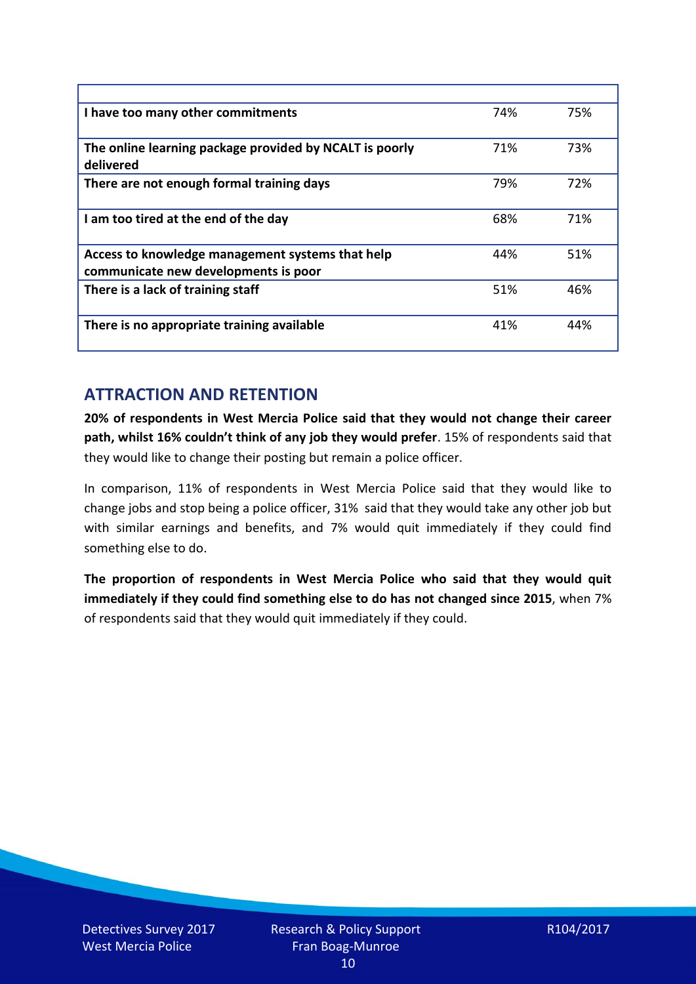| I have too many other commitments                                                        | 74% | 75% |
|------------------------------------------------------------------------------------------|-----|-----|
| The online learning package provided by NCALT is poorly<br>delivered                     | 71% | 73% |
| There are not enough formal training days                                                | 79% | 72% |
| I am too tired at the end of the day                                                     | 68% | 71% |
| Access to knowledge management systems that help<br>communicate new developments is poor | 44% | 51% |
| There is a lack of training staff                                                        | 51% | 46% |
| There is no appropriate training available                                               | 41% | 44% |

# **ATTRACTION AND RETENTION**

**20% of respondents in West Mercia Police said that they would not change their career path, whilst 16% couldn't think of any job they would prefer**. 15% of respondents said that they would like to change their posting but remain a police officer.

In comparison, 11% of respondents in West Mercia Police said that they would like to change jobs and stop being a police officer, 31% said that they would take any other job but with similar earnings and benefits, and 7% would quit immediately if they could find something else to do.

**The proportion of respondents in West Mercia Police who said that they would quit immediately if they could find something else to do has not changed since 2015**, when 7% of respondents said that they would quit immediately if they could.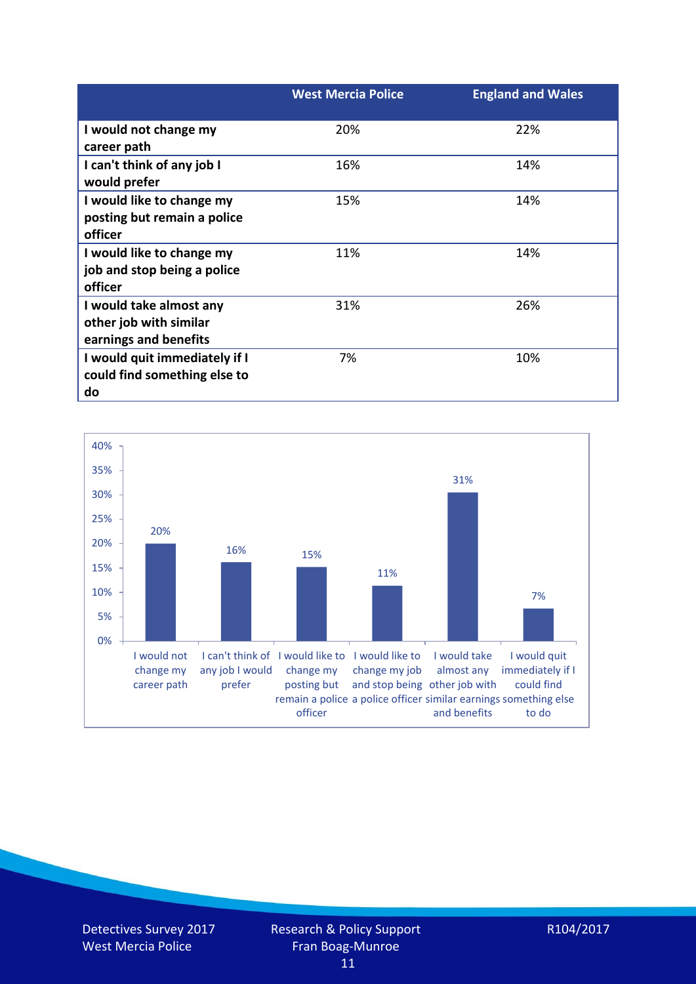|                               | <b>West Mercia Police</b> | <b>England and Wales</b> |
|-------------------------------|---------------------------|--------------------------|
| I would not change my         | 20%                       | 22%                      |
| career path                   |                           |                          |
| I can't think of any job I    | 16%                       | 14%                      |
| would prefer                  |                           |                          |
| I would like to change my     | 15%                       | 14%                      |
| posting but remain a police   |                           |                          |
| officer                       |                           |                          |
| I would like to change my     | 11%                       | 14%                      |
| job and stop being a police   |                           |                          |
| officer                       |                           |                          |
| I would take almost any       | 31%                       | 26%                      |
| other job with similar        |                           |                          |
| earnings and benefits         |                           |                          |
| I would quit immediately if I | 7%                        | 10%                      |
| could find something else to  |                           |                          |
| do                            |                           |                          |